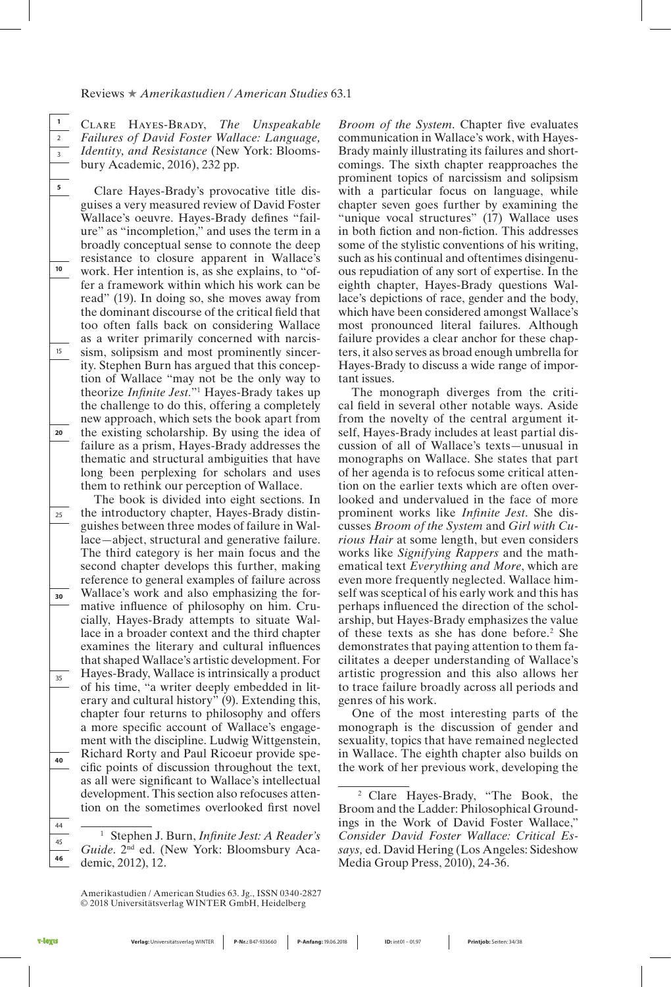## Reviews ★ *Amerikastudien / American Studies* 63.1

Clare Hayes-Brady, *The Unspeakable Failures of David Foster Wallace: Language, Identity, and Resistance* (New York: Bloomsbury Academic, 2016), 232 pp.

**1** 2 3

**5**

**10**

15

**20**

25

**30**

35

**40**

44 45 **46**

Clare Hayes-Brady's provocative title disguises a very measured review of David Foster Wallace's oeuvre. Hayes-Brady defines "failure" as "incompletion," and uses the term in a broadly conceptual sense to connote the deep resistance to closure apparent in Wallace's work. Her intention is, as she explains, to "offer a framework within which his work can be read" (19). In doing so, she moves away from the dominant discourse of the critical field that too often falls back on considering Wallace as a writer primarily concerned with narcissism, solipsism and most prominently sincerity. Stephen Burn has argued that this conception of Wallace "may not be the only way to theorize *Infinite Jest*."<sup>1</sup> Hayes-Brady takes up the challenge to do this, offering a completely new approach, which sets the book apart from the existing scholarship. By using the idea of failure as a prism, Hayes-Brady addresses the thematic and structural ambiguities that have long been perplexing for scholars and uses them to rethink our perception of Wallace.

The book is divided into eight sections. In the introductory chapter, Hayes-Brady distinguishes between three modes of failure in Wallace—abject, structural and generative failure. The third category is her main focus and the second chapter develops this further, making reference to general examples of failure across Wallace's work and also emphasizing the formative influence of philosophy on him. Crucially, Hayes-Brady attempts to situate Wallace in a broader context and the third chapter examines the literary and cultural influences that shaped Wallace's artistic development. For Hayes-Brady, Wallace is intrinsically a product of his time, "a writer deeply embedded in literary and cultural history" (9). Extending this, chapter four returns to philosophy and offers a more specific account of Wallace's engagement with the discipline. Ludwig Wittgenstein, Richard Rorty and Paul Ricoeur provide specific points of discussion throughout the text, as all were significant to Wallace's intellectual development. This section also refocuses attention on the sometimes overlooked first novel

*Broom of the System.* Chapter five evaluates communication in Wallace's work, with Hayes-Brady mainly illustrating its failures and shortcomings. The sixth chapter reapproaches the prominent topics of narcissism and solipsism with a particular focus on language, while chapter seven goes further by examining the "unique vocal structures" (17) Wallace uses in both fiction and non-fiction. This addresses some of the stylistic conventions of his writing, such as his continual and oftentimes disingenuous repudiation of any sort of expertise. In the eighth chapter, Hayes-Brady questions Wallace's depictions of race, gender and the body, which have been considered amongst Wallace's most pronounced literal failures. Although failure provides a clear anchor for these chapters, it also serves as broad enough umbrella for Hayes-Brady to discuss a wide range of important issues.

The monograph diverges from the critical field in several other notable ways. Aside from the novelty of the central argument itself, Hayes-Brady includes at least partial discussion of all of Wallace's texts—unusual in monographs on Wallace. She states that part of her agenda is to refocus some critical attention on the earlier texts which are often overlooked and undervalued in the face of more prominent works like *Infinite Jest*. She discusses *Broom of the System* and *Girl with Curious Hair* at some length, but even considers works like *Signifying Rappers* and the mathematical text *Everything and More*, which are even more frequently neglected. Wallace himself was sceptical of his early work and this has perhaps influenced the direction of the scholarship, but Hayes-Brady emphasizes the value of these texts as she has done before.2 She demonstrates that paying attention to them facilitates a deeper understanding of Wallace's artistic progression and this also allows her to trace failure broadly across all periods and genres of his work.

One of the most interesting parts of the monograph is the discussion of gender and sexuality, topics that have remained neglected in Wallace. The eighth chapter also builds on the work of her previous work, developing the

<sup>&</sup>lt;sup>1</sup> Stephen J. Burn, *Infinite Jest: A Reader's* Guide. 2<sup>nd</sup> ed. (New York: Bloomsbury Academic, 2012), 12.

<sup>2</sup> Clare Hayes-Brady, "The Book, the Broom and the Ladder: Philosophical Groundings in the Work of David Foster Wallace," *Consider David Foster Wallace: Critical Essays,* ed. David Hering (Los Angeles: Sideshow Media Group Press, 2010), 24-36.

Amerikastudien / American Studies 63. Jg., ISSN 0340-2827 © 2018 Universitätsverlag WINTER GmbH, Heidelberg